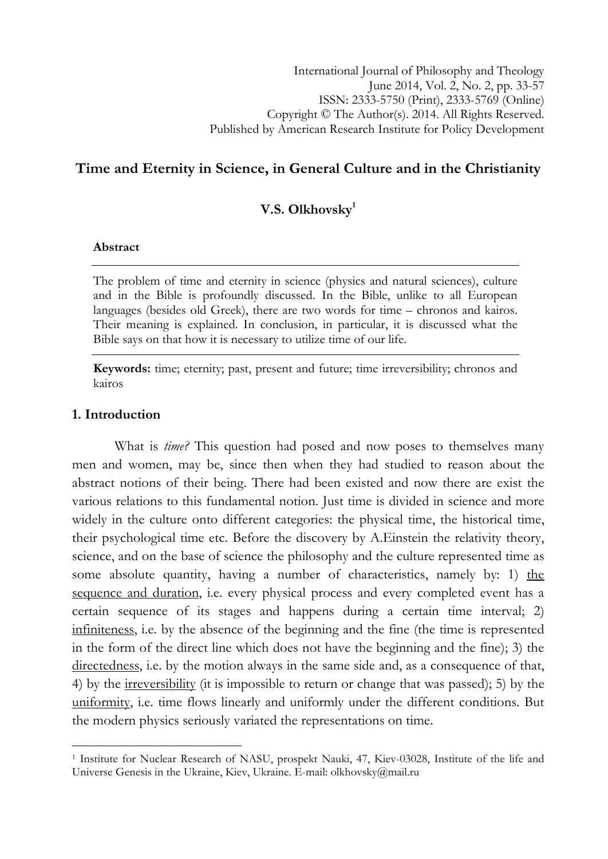# Time and Eternity in Science, in General Culture and in the Christianity

## V.S. Olkhovsky $1$

#### Abstract

The problem of time and eternity in science (physics and natural sciences), culture and in the Bible is profoundly discussed. In the Bible, unlike to all European languages (besides old Greek), there are two words for time – chronos and kairos. Their meaning is explained. In conclusion, in particular, it is discussed what the Bible says on that how it is necessary to utilize time of our life.

Keywords: time; eternity; past, present and future; time irreversibility; chronos and kairos

## 1. Introduction

l

What is *time?* This question had posed and now poses to themselves many men and women, may be, since then when they had studied to reason about the abstract notions of their being. There had been existed and now there are exist the various relations to this fundamental notion. Just time is divided in science and more widely in the culture onto different categories: the physical time, the historical time, their psychological time etc. Before the discovery by A.Einstein the relativity theory, science, and on the base of science the philosophy and the culture represented time as some absolute quantity, having a number of characteristics, namely by: 1) the sequence and duration, i.e. every physical process and every completed event has a certain sequence of its stages and happens during a certain time interval; 2) infiniteness, i.e. by the absence of the beginning and the fine (the time is represented in the form of the direct line which does not have the beginning and the fine); 3) the directedness, i.e. by the motion always in the same side and, as a consequence of that, 4) by the irreversibility (it is impossible to return or change that was passed); 5) by the uniformity, i.e. time flows linearly and uniformly under the different conditions. But the modern physics seriously variated the representations on time.

<sup>&</sup>lt;sup>1</sup> Institute for Nuclear Research of NASU, prospekt Nauki, 47, Kiev-03028, Institute of the life and Universe Genesis in the Ukraine, Kiev, Ukraine. E-mail: olkhovsky@mail.ru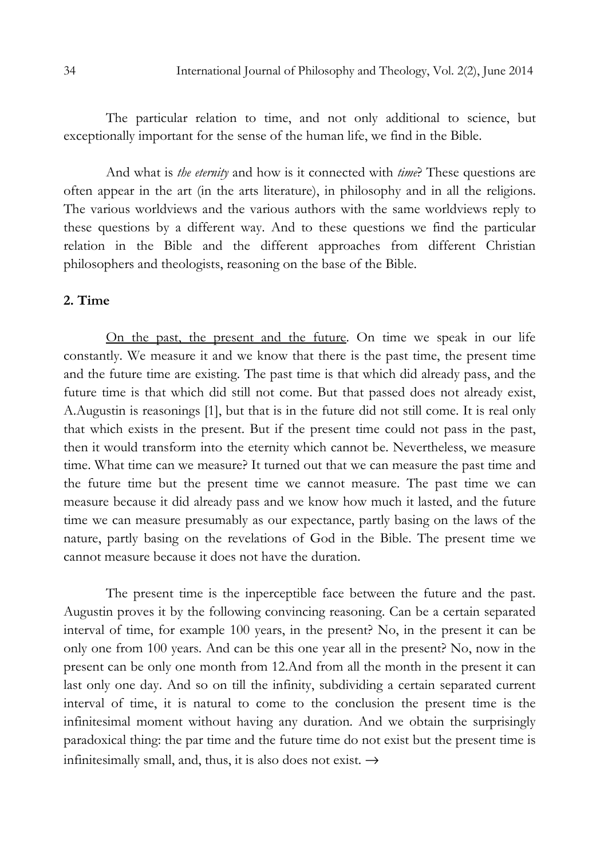The particular relation to time, and not only additional to science, but exceptionally important for the sense of the human life, we find in the Bible.

And what is *the eternity* and how is it connected with *time*? These questions are often appear in the art (in the arts literature), in philosophy and in all the religions. The various worldviews and the various authors with the same worldviews reply to these questions by a different way. And to these questions we find the particular relation in the Bible and the different approaches from different Christian philosophers and theologists, reasoning on the base of the Bible.

## 2. Time

Оn the past, the present and the future. Оn time we speak in our life constantly. We measure it and we know that there is the past time, the present time and the future time are existing. The past time is that which did already pass, and the future time is that which did still not come. But that passed does not already exist, A.Augustin is reasonings [1], but that is in the future did not still come. It is real only that which exists in the present. But if the present time could not pass in the past, then it would transform into the eternity which cannot be. Nevertheless, we measure time. What time can we measure? It turned out that we can measure the past time and the future time but the present time we cannot measure. The past time we can measure because it did already pass and we know how much it lasted, and the future time we can measure presumably as our expectance, partly basing on the laws of the nature, partly basing on the revelations of God in the Bible. The present time we cannot measure because it does not have the duration.

The present time is the inperceptible face between the future and the past. Augustin proves it by the following convincing reasoning. Can be a certain separated interval of time, for example 100 years, in the present? No, in the present it can be only one from 100 years. And can be this one year all in the present? No, now in the present can be only one month from 12.And from all the month in the present it can last only one day. And so on till the infinity, subdividing a certain separated current interval of time, it is natural to come to the conclusion the present time is the infinitesimal moment without having any duration. And we obtain the surprisingly paradoxical thing: the par time and the future time do not exist but the present time is infinitesimally small, and, thus, it is also does not exist.  $\rightarrow$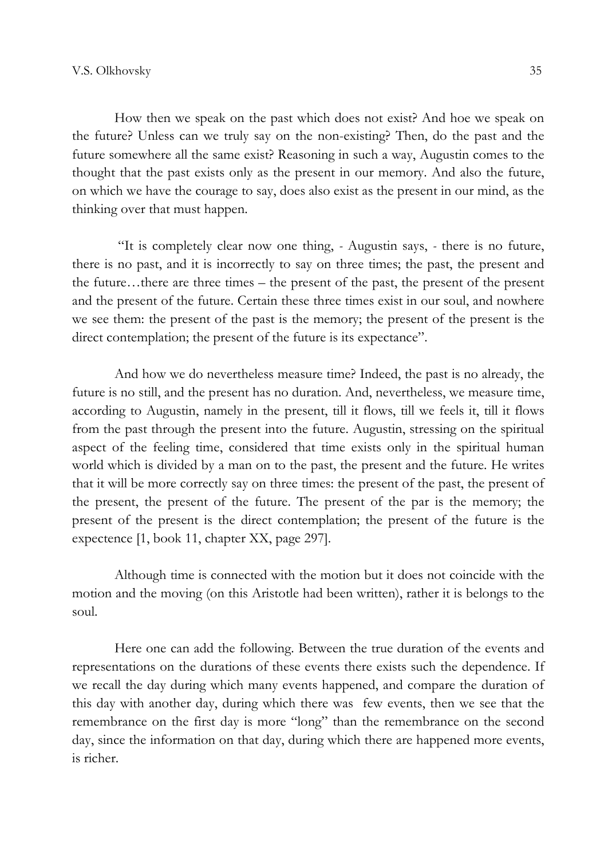How then we speak on the past which does not exist? And hoe we speak on the future? Unless can we truly say on the non-existing? Then, do the past and the future somewhere all the same exist? Reasoning in such a way, Augustin comes to the thought that the past exists only as the present in our memory. And also the future, on which we have the courage to say, does also exist as the present in our mind, as the thinking over that must happen.

 "It is completely clear now one thing, - Augustin says, - there is no future, there is no past, and it is incorrectly to say on three times; the past, the present and the future…there are three times – the present of the past, the present of the present and the present of the future. Certain these three times exist in our soul, and nowhere we see them: the present of the past is the memory; the present of the present is the direct contemplation; the present of the future is its expectance".

And how we do nevertheless measure time? Indeed, the past is no already, the future is no still, and the present has no duration. And, nevertheless, we measure time, according to Augustin, namely in the present, till it flows, till we feels it, till it flows from the past through the present into the future. Аugustin, stressing on the spiritual aspect of the feeling time, considered that time exists only in the spiritual human world which is divided by a man on to the past, the present and the future. He writes that it will be more correctly say on three times: the present of the past, the present of the present, the present of the future. The present of the par is the memory; the present of the present is the direct contemplation; the present of the future is the expectence [1, book 11, chapter XX, page 297].

Although time is connected with the motion but it does not coincide with the motion and the moving (on this Aristotle had been written), rather it is belongs to the soul.

Here one can add the following. Between the true duration of the events and representations on the durations of these events there exists such the dependence. If we recall the day during which many events happened, and compare the duration of this day with another day, during which there was few events, then we see that the remembrance on the first day is more "long" than the remembrance on the second day, since the information on that day, during which there are happened more events, is richer.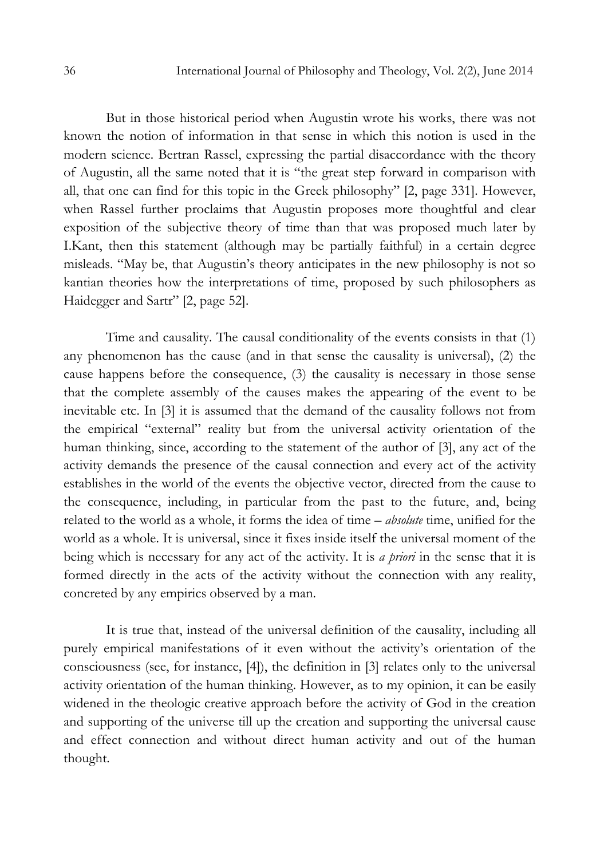But in those historical period when Augustin wrote his works, there was not known the notion of information in that sense in which this notion is used in the modern science. Bertran Rassel, expressing the partial disaccordance with the theory of Augustin, all the same noted that it is "the great step forward in comparison with all, that one can find for this topic in the Greek philosophy" [2, page 331]. However, when Rassel further proclaims that Augustin proposes more thoughtful and clear exposition of the subjective theory of time than that was proposed much later by I.Kant, then this statement (although may be partially faithful) in a certain degree misleads. "May be, that Augustin's theory anticipates in the new philosophy is not so kantian theories how the interpretations of time, proposed by such philosophers as Haidegger and Sartr" [2, page 52].

Time and causality. The causal conditionality of the events consists in that (1) any phenomenon has the cause (and in that sense the causality is universal), (2) the cause happens before the consequence, (3) the causality is necessary in those sense that the complete assembly of the causes makes the appearing of the event to be inevitable etc. In [3] it is assumed that the demand of the causality follows not from the empirical "external" reality but from the universal activity orientation of the human thinking, since, according to the statement of the author of [3], any act of the activity demands the presence of the causal connection and every act of the activity establishes in the world of the events the objective vector, directed from the cause to the consequence, including, in particular from the past to the future, and, being related to the world as a whole, it forms the idea of time – absolute time, unified for the world as a whole. It is universal, since it fixes inside itself the universal moment of the being which is necessary for any act of the activity. It is *a priori* in the sense that it is formed directly in the acts of the activity without the connection with any reality, concreted by any empirics observed by a man.

It is true that, instead of the universal definition of the causality, including all purely empirical manifestations of it even without the activity's orientation of the consciousness (see, for instance, [4]), the definition in [3] relates only to the universal activity orientation of the human thinking. However, as to my opinion, it can be easily widened in the theologic creative approach before the activity of God in the creation and supporting of the universe till up the creation and supporting the universal cause and effect connection and without direct human activity and out of the human thought.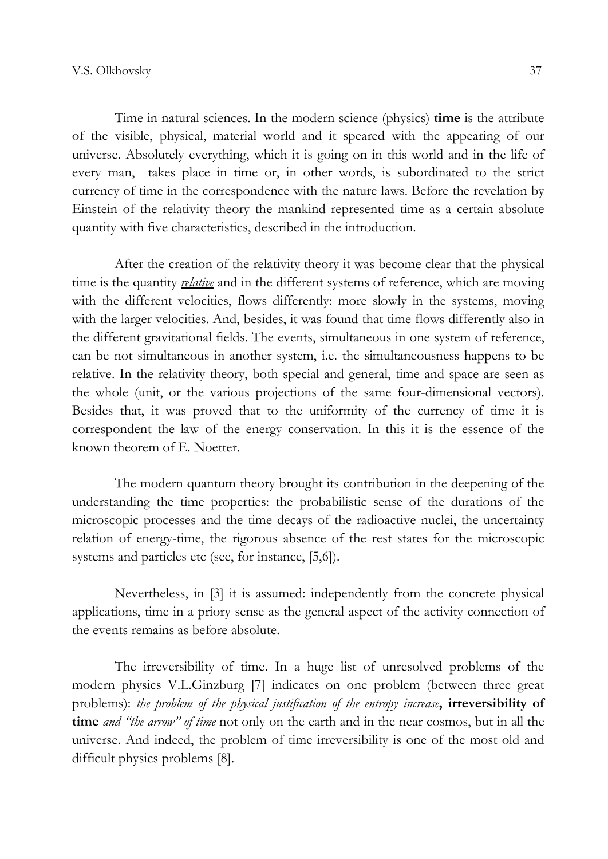Time in natural sciences. In the modern science (physics) time is the attribute of the visible, physical, material world and it speared with the appearing of our universe. Аbsolutely everything, which it is going on in this world and in the life of every man, takes place in time or, in other words, is subordinated to the strict currency of time in the correspondence with the nature laws. Before the revelation by Einstein of the relativity theory the mankind represented time as a certain absolute quantity with five characteristics, described in the introduction.

After the creation of the relativity theory it was become clear that the physical time is the quantity *relative* and in the different systems of reference, which are moving with the different velocities, flows differently: more slowly in the systems, moving with the larger velocities. Аnd, besides, it was found that time flows differently also in the different gravitational fields. The events, simultaneous in one system of reference, can be not simultaneous in another system, i.e. the simultaneousness happens to be relative. In the relativity theory, both special and general, time and space are seen as the whole (unit, or the various projections of the same four-dimensional vectors). Besides that, it was proved that to the uniformity of the currency of time it is correspondent the law of the energy conservation. In this it is the essence of the known theorem of E. Noetter.

The modern quantum theory brought its contribution in the deepening of the understanding the time properties: the probabilistic sense of the durations of the microscopic processes and the time decays of the radioactive nuclei, the uncertainty relation of energy-time, the rigorous absence of the rest states for the microscopic systems and particles etc (see, for instance, [5,6]).

Nevertheless, in [3] it is assumed: independently from the concrete physical applications, time in a priory sense as the general aspect of the activity connection of the events remains as before absolute.

The irreversibility of time. In a huge list of unresolved problems of the modern physics V.L.Ginzburg [7] indicates on one problem (between three great problems): the problem of the physical justification of the entropy increase, irreversibility of time *and "the arrow" of time* not only on the earth and in the near cosmos, but in all the universe. And indeed, the problem of time irreversibility is one of the most old and difficult physics problems [8].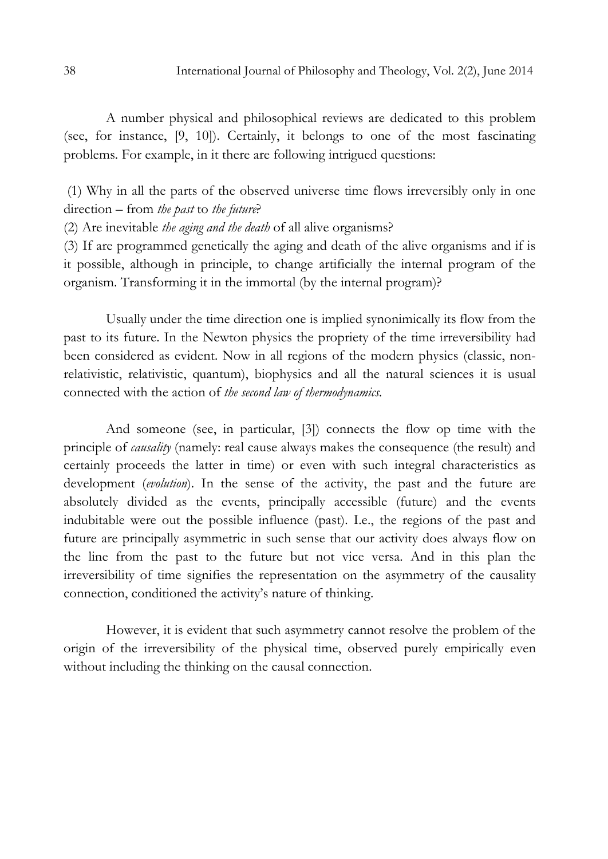A number physical and philosophical reviews are dedicated to this problem (see, for instance, [9, 10]). Certainly, it belongs to one of the most fascinating problems. For example, in it there are following intrigued questions:

 (1) Why in all the parts of the observed universe time flows irreversibly only in one direction – from the past to the future?

(2) Are inevitable the aging and the death of all alive organisms?

(3) If are programmed genetically the aging and death of the alive organisms and if is it possible, although in principle, to change artificially the internal program of the organism. Transforming it in the immortal (by the internal program)?

Usually under the time direction one is implied synonimically its flow from the past to its future. In the Newton physics the propriety of the time irreversibility had been considered as evident. Now in all regions of the modern physics (classic, nonrelativistic, relativistic, quantum), biophysics and all the natural sciences it is usual connected with the action of the second law of thermodynamics.

Аnd someone (see, in particular, [3]) connects the flow op time with the principle of causality (namely: real cause always makes the consequence (the result) and certainly proceeds the latter in time) or even with such integral characteristics as development *(evolution*). In the sense of the activity, the past and the future are absolutely divided as the events, principally accessible (future) and the events indubitable were out the possible influence (past). I.e., the regions of the past and future are principally asymmetric in such sense that our activity does always flow on the line from the past to the future but not vice versa. And in this plan the irreversibility of time signifies the representation on the asymmetry of the causality connection, conditioned the activity's nature of thinking.

However, it is evident that such asymmetry cannot resolve the problem of the origin of the irreversibility of the physical time, observed purely empirically even without including the thinking on the causal connection.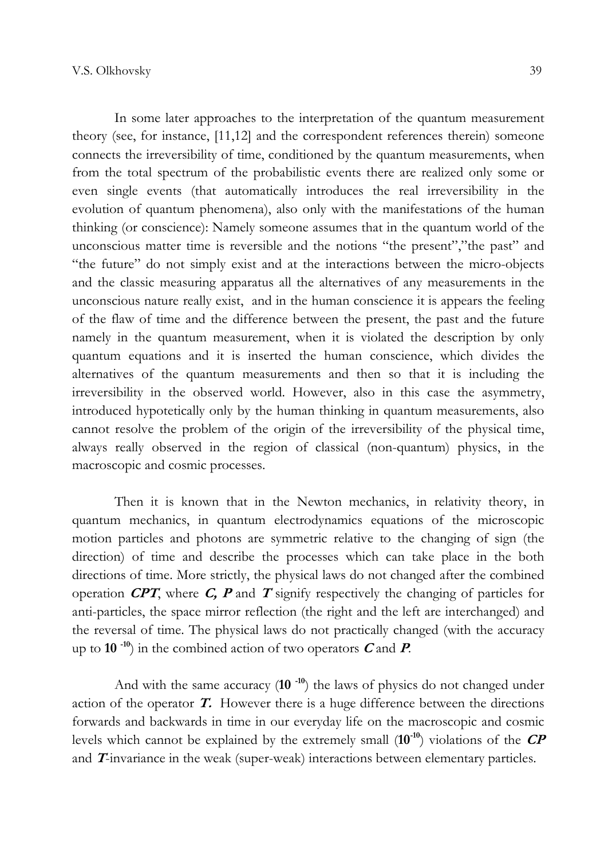In some later approaches to the interpretation of the quantum measurement theory (see, for instance, [11,12] and the correspondent references therein) someone connects the irreversibility of time, conditioned by the quantum measurements, when from the total spectrum of the probabilistic events there are realized only some or even single events (that automatically introduces the real irreversibility in the evolution of quantum phenomena), also only with the manifestations of the human thinking (or conscience): Namely someone assumes that in the quantum world of the unconscious matter time is reversible and the notions "the present","the past" and "the future" do not simply exist and at the interactions between the micro-objects and the classic measuring apparatus all the alternatives of any measurements in the unconscious nature really exist, and in the human conscience it is appears the feeling of the flaw of time and the difference between the present, the past and the future namely in the quantum measurement, when it is violated the description by only quantum equations and it is inserted the human conscience, which divides the alternatives of the quantum measurements and then so that it is including the irreversibility in the observed world. However, also in this case the asymmetry, introduced hypotetically only by the human thinking in quantum measurements, also cannot resolve the problem of the origin of the irreversibility of the physical time, always really observed in the region of classical (non-quantum) physics, in the macroscopic and cosmic processes.

Then it is known that in the Newton mechanics, in relativity theory, in quantum mechanics, in quantum electrodynamics equations of the microscopic motion particles and photons are symmetric relative to the changing of sign (the direction) of time and describe the processes which can take place in the both directions of time. More strictly, the physical laws do not changed after the combined operation  $CPT$ , where C, P and T signify respectively the changing of particles for anti-particles, the space mirror reflection (the right and the left are interchanged) and the reversal of time. The physical laws do not practically changed (with the accuracy up to 10 $^{-10}$ ) in the combined action of two operators C and P.

And with the same accuracy  $(10^{-10})$  the laws of physics do not changed under action of the operator  $T$ . However there is a huge difference between the directions forwards and backwards in time in our everyday life on the macroscopic and cosmic levels which cannot be explained by the extremely small  $(10^{-10})$  violations of the  $\mathbb{CP}$ and T-invariance in the weak (super-weak) interactions between elementary particles.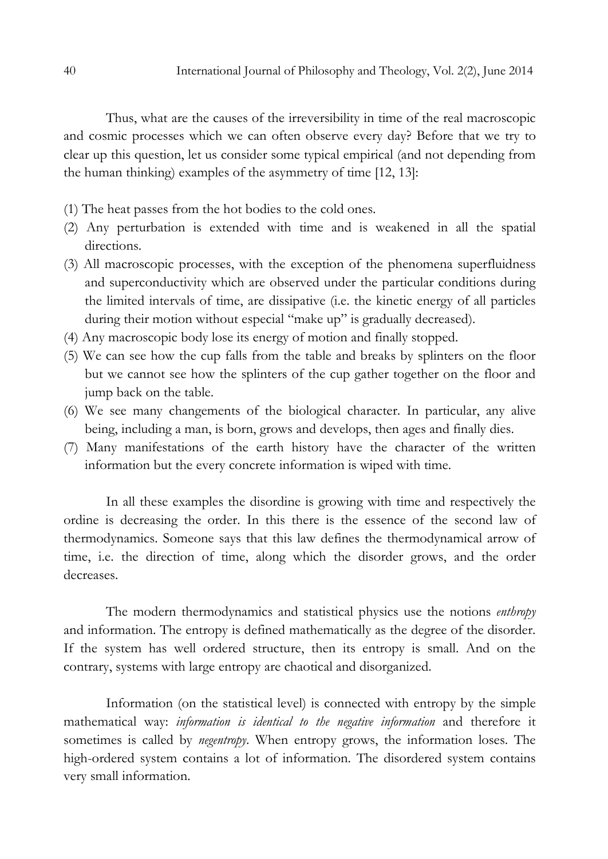Thus, what are the causes of the irreversibility in time of the real macroscopic and cosmic processes which we can often observe every day? Before that we try to clear up this question, let us consider some typical empirical (and not depending from the human thinking) examples of the asymmetry of time [12, 13]:

- (1) Тhe heat passes from the hot bodies to the cold ones.
- (2) Any perturbation is extended with time and is weakened in all the spatial directions.
- (3) All macroscopic processes, with the exception of the phenomena superfluidness and superconductivity which are observed under the particular conditions during the limited intervals of time, are dissipative (i.e. the kinetic energy of all particles during their motion without especial "make up" is gradually decreased).
- (4) Any macroscopic body lose its energy of motion and finally stopped.
- (5) We can see how the cup falls from the table and breaks by splinters on the floor but we cannot see how the splinters of the cup gather together on the floor and jump back on the table.
- (6) We see many changements of the biological character. In particular, any alive being, including a man, is born, grows and develops, then ages and finally dies.
- (7) Мany manifestations of the earth history have the character of the written information but the every concrete information is wiped with time.

In all these examples the disordine is growing with time and respectively the ordine is decreasing the order. In this there is the essence of the second law of thermodynamics. Someone says that this law defines the thermodynamical arrow of time, i.e. the direction of time, along which the disorder grows, and the order decreases.

The modern thermodynamics and statistical physics use the notions *enthropy* and information. The entropy is defined mathematically as the degree of the disorder. If the system has well ordered structure, then its entropy is small. And on the contrary, systems with large entropy are chaotical and disorganized.

Information (on the statistical level) is connected with entropy by the simple mathematical way: information is identical to the negative information and therefore it sometimes is called by *negentropy*. When entropy grows, the information loses. The high-ordered system contains a lot of information. The disordered system contains very small information.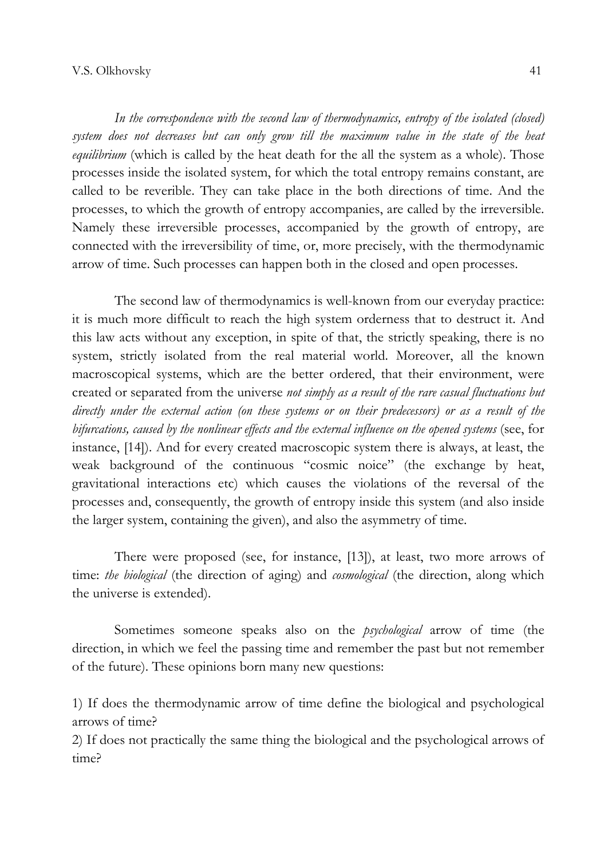In the correspondence with the second law of thermodynamics, entropy of the isolated (closed) system does not decreases but can only grow till the maximum value in the state of the heat equilibrium (which is called by the heat death for the all the system as a whole). Those processes inside the isolated system, for which the total entropy remains constant, are called to be reverible. They can take place in the both directions of time. And the processes, to which the growth of entropy accompanies, are called by the irreversible. Namely these irreversible processes, accompanied by the growth of entropy, are connected with the irreversibility of time, or, more precisely, with the thermodynamic arrow of time. Such processes can happen both in the closed and open processes.

The second law of thermodynamics is well-known from our everyday practice: it is much more difficult to reach the high system orderness that to destruct it. And this law acts without any exception, in spite of that, the strictly speaking, there is no system, strictly isolated from the real material world. Moreover, all the known macroscopical systems, which are the better ordered, that their environment, were created or separated from the universe not simply as a result of the rare casual fluctuations but directly under the external action (on these systems or on their predecessors) or as a result of the bifurcations, caused by the nonlinear effects and the external influence on the opened systems (see, for instance, [14]). And for every created macroscopic system there is always, at least, the weak background of the continuous "cosmic noice" (the exchange by heat, gravitational interactions etc) which causes the violations of the reversal of the processes and, consequently, the growth of entropy inside this system (and also inside the larger system, containing the given), and also the asymmetry of time.

There were proposed (see, for instance, [13]), at least, two more arrows of time: the biological (the direction of aging) and cosmological (the direction, along which the universe is extended).

Sometimes someone speaks also on the *psychological* arrow of time (the direction, in which we feel the passing time and remember the past but not remember of the future). These opinions born many new questions:

1) If does the thermodynamic arrow of time define the biological and psychological arrows of time?

2) If does not practically the same thing the biological and the psychological arrows of time?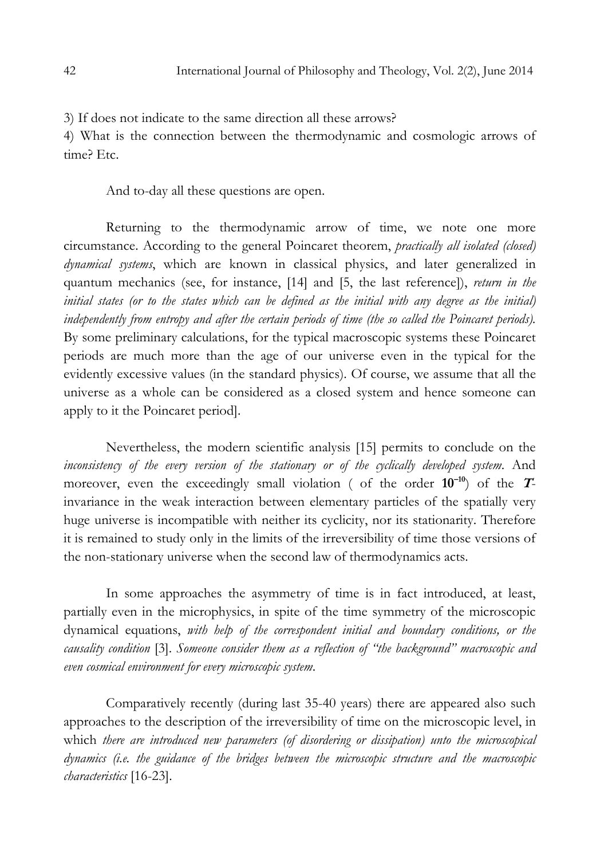3) If does not indicate to the same direction all these arrows?

4) What is the connection between the thermodynamic and cosmologic arrows of time? Etc.

And to-day all these questions are open.

Returning to the thermodynamic arrow of time, we note one more circumstance. According to the general Poincaret theorem, practically all isolated (closed) dynamical systems, which are known in classical physics, and later generalized in quantum mechanics (see, for instance, [14] and [5, the last reference]), return in the initial states (or to the states which can be defined as the initial with any degree as the initial) independently from entropy and after the certain periods of time (the so called the Poincaret periods). By some preliminary calculations, for the typical macroscopic systems these Poincaret periods are much more than the age of our universe even in the typical for the evidently excessive values (in the standard physics). Of course, we assume that all the universe as a whole can be considered as a closed system and hence someone can apply to it the Poincaret period].

Nevertheless, the modern scientific analysis [15] permits to conclude on the inconsistency of the every version of the stationary or of the cyclically developed system. And moreover, even the exceedingly small violation ( of the order  $10^{-10}$ ) of the  $T$ invariance in the weak interaction between elementary particles of the spatially very huge universe is incompatible with neither its cyclicity, nor its stationarity. Therefore it is remained to study only in the limits of the irreversibility of time those versions of the non-stationary universe when the second law of thermodynamics acts.

In some approaches the asymmetry of time is in fact introduced, at least, partially even in the microphysics, in spite of the time symmetry of the microscopic dynamical equations, with help of the correspondent initial and boundary conditions, or the causality condition [3]. Someone consider them as a reflection of "the background" macroscopic and even cosmical environment for every microscopic system.

Сomparatively recently (during last 35-40 years) there are appeared also such approaches to the description of the irreversibility of time on the microscopic level, in which there are introduced new parameters (of disordering or dissipation) unto the microscopical dynamics (i.e. the guidance of the bridges between the microscopic structure and the macroscopic characteristics [16-23].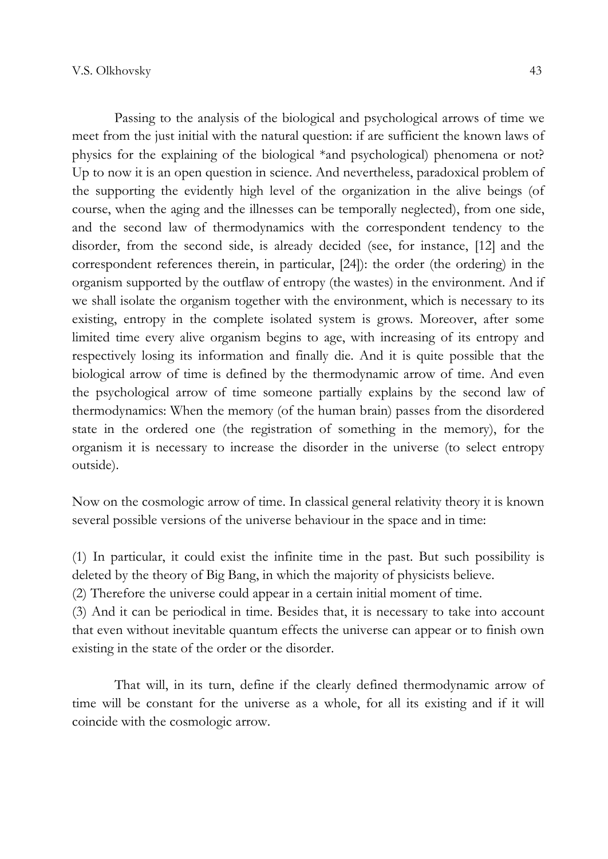Passing to the analysis of the biological and psychological arrows of time we meet from the just initial with the natural question: if are sufficient the known laws of physics for the explaining of the biological \*and psychological) phenomena or not? Up to now it is an open question in science. And nevertheless, paradoxical problem of the supporting the evidently high level of the organization in the alive beings (of course, when the aging and the illnesses can be temporally neglected), from one side, and the second law of thermodynamics with the correspondent tendency to the disorder, from the second side, is already decided (see, for instance, [12] and the correspondent references therein, in particular, [24]): the order (the ordering) in the organism supported by the outflaw of entropy (the wastes) in the environment. And if we shall isolate the organism together with the environment, which is necessary to its existing, entropy in the complete isolated system is grows. Moreover, after some limited time every alive organism begins to age, with increasing of its entropy and respectively losing its information and finally die. And it is quite possible that the biological arrow of time is defined by the thermodynamic arrow of time. And even the psychological arrow of time someone partially explains by the second law of thermodynamics: When the memory (of the human brain) passes from the disordered state in the ordered one (the registration of something in the memory), for the organism it is necessary to increase the disorder in the universe (to select entropy outside).

Now on the cosmologic arrow of time. In classical general relativity theory it is known several possible versions of the universe behaviour in the space and in time:

(1) In particular, it could exist the infinite time in the past. But such possibility is deleted by the theory of Big Bang, in which the majority of physicists believe.

(2) Therefore the universe could appear in a certain initial moment of time.

(3) And it can be periodical in time. Besides that, it is necessary to take into account that even without inevitable quantum effects the universe can appear or to finish own existing in the state of the order or the disorder.

That will, in its turn, define if the clearly defined thermodynamic arrow of time will be constant for the universe as a whole, for all its existing and if it will coincide with the cosmologic arrow.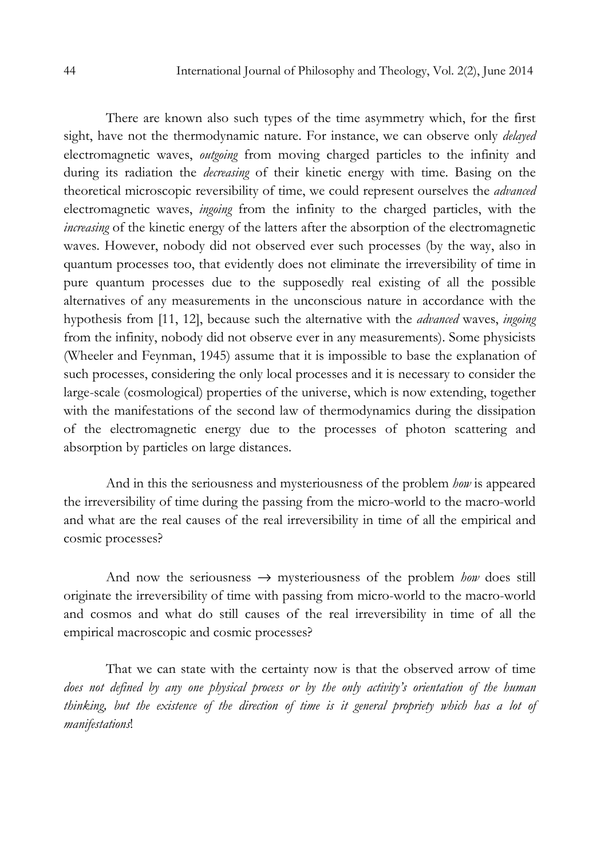There are known also such types of the time asymmetry which, for the first sight, have not the thermodynamic nature. For instance, we can observe only delayed electromagnetic waves, outgoing from moving charged particles to the infinity and during its radiation the decreasing of their kinetic energy with time. Basing on the theoretical microscopic reversibility of time, we could represent ourselves the *advanced* electromagnetic waves, ingoing from the infinity to the charged particles, with the increasing of the kinetic energy of the latters after the absorption of the electromagnetic waves. However, nobody did not observed ever such processes (by the way, also in quantum processes too, that evidently does not eliminate the irreversibility of time in pure quantum processes due to the supposedly real existing of all the possible alternatives of any measurements in the unconscious nature in accordance with the hypothesis from [11, 12], because such the alternative with the *advanced* waves, *ingoing* from the infinity, nobody did not observe ever in any measurements). Some physicists (Wheeler and Feynman, 1945) assume that it is impossible to base the explanation of such processes, considering the only local processes and it is necessary to consider the large-scale (cosmological) properties of the universe, which is now extending, together with the manifestations of the second law of thermodynamics during the dissipation of the electromagnetic energy due to the processes of photon scattering and absorption by particles on large distances.

And in this the seriousness and mysteriousness of the problem *how* is appeared the irreversibility of time during the passing from the micro-world to the macro-world and what are the real causes of the real irreversibility in time of all the empirical and cosmic processes?

And now the seriousness  $\rightarrow$  mysteriousness of the problem *how* does still originate the irreversibility of time with passing from micro-world to the macro-world and cosmos and what do still causes of the real irreversibility in time of all the empirical macroscopic and cosmic processes?

That we can state with the certainty now is that the observed arrow of time does not defined by any one physical process or by the only activity's orientation of the human thinking, but the existence of the direction of time is it general propriety which has a lot of manifestations!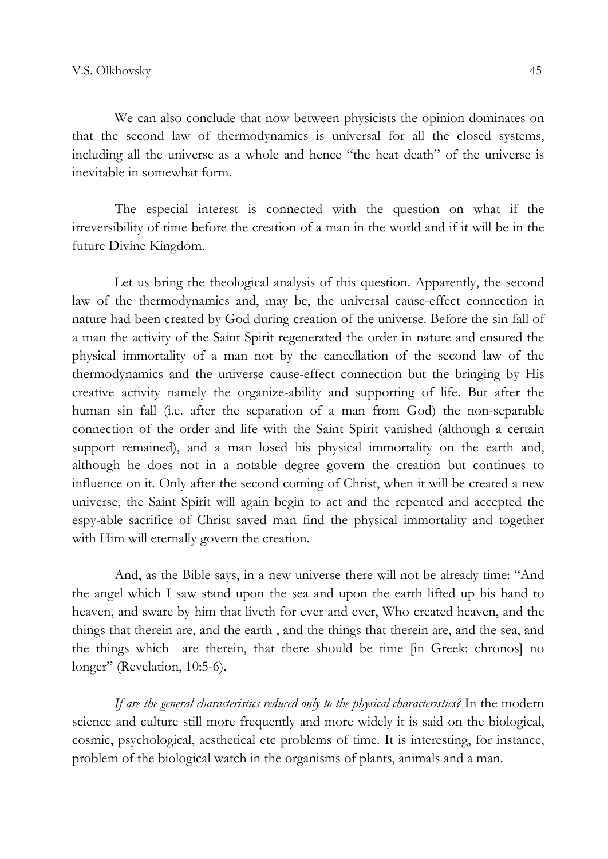We can also conclude that now between physicists the opinion dominates on that the second law of thermodynamics is universal for all the closed systems, including all the universe as a whole and hence "the heat death" of the universe is inevitable in somewhat form.

The especial interest is connected with the question on what if the irreversibility of time before the creation of a man in the world and if it will be in the future Divine Kingdom.

Let us bring the theological analysis of this question. Apparently, the second law of the thermodynamics and, may be, the universal cause-effect connection in nature had been created by God during creation of the universe. Before the sin fall of a man the activity of the Saint Spirit regenerated the order in nature and ensured the physical immortality of a man not by the cancellation of the second law of the thermodynamics and the universe cause-effect connection but the bringing by His creative activity namely the organize-ability and supporting of life. But after the human sin fall (i.e. after the separation of a man from God) the non-separable connection of the order and life with the Saint Spirit vanished (although a certain support remained), and a man losed his physical immortality on the earth and, although he does not in a notable degree govern the creation but continues to influence on it. Only after the second coming of Christ, when it will be created a new universe, the Saint Spirit will again begin to act and the repented and accepted the espy-able sacrifice of Christ saved man find the physical immortality and together with Him will eternally govern the creation.

And, as the Bible says, in a new universe there will not be already time: "And the angel which I saw stand upon the sea and upon the earth lifted up his hand to heaven, and sware by him that liveth for ever and ever, Who created heaven, and the things that therein are, and the earth , and the things that therein are, and the sea, and the things which are therein, that there should be time [in Greek: chronos] no longer" (Revelation, 10:5-6).

If are the general characteristics reduced only to the physical characteristics? In the modern science and culture still more frequently and more widely it is said on the biological, cosmic, psychological, aesthetical etc problems of time. It is interesting, for instance, problem of the biological watch in the organisms of plants, animals and a man.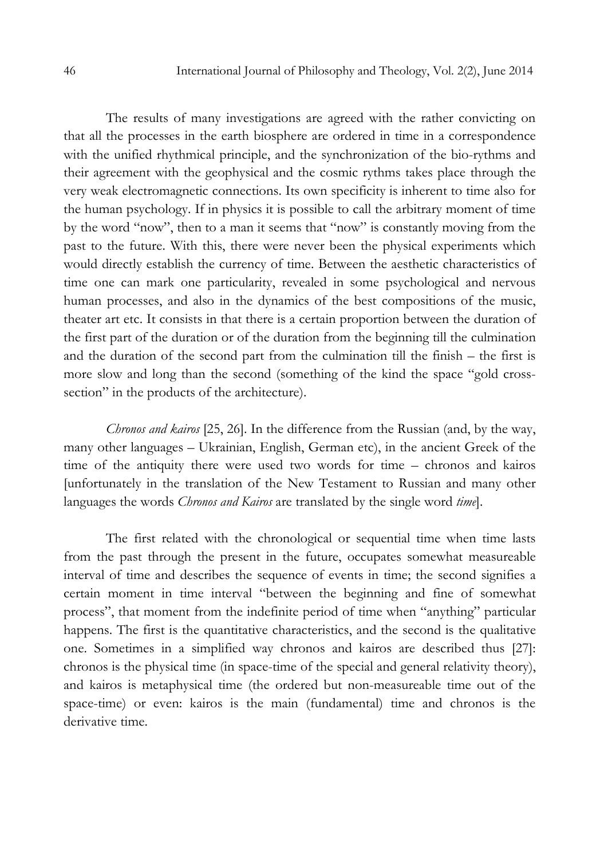The results of many investigations are agreed with the rather convicting on that all the processes in the earth biosphere are ordered in time in a correspondence with the unified rhythmical principle, and the synchronization of the bio-rythms and their agreement with the geophysical and the cosmic rythms takes place through the very weak electromagnetic connections. Its own specificity is inherent to time also for the human psychology. If in physics it is possible to call the arbitrary moment of time by the word "now", then to a man it seems that "now" is constantly moving from the past to the future. With this, there were never been the physical experiments which would directly establish the currency of time. Between the aesthetic characteristics of time one can mark one particularity, revealed in some psychological and nervous human processes, and also in the dynamics of the best compositions of the music, theater art etc. It consists in that there is a certain proportion between the duration of the first part of the duration or of the duration from the beginning till the culmination and the duration of the second part from the culmination till the finish – the first is more slow and long than the second (something of the kind the space "gold crosssection" in the products of the architecture).

Chronos and kairos [25, 26]. In the difference from the Russian (and, by the way, many other languages – Ukrainian, English, German etc), in the ancient Greek of the time of the antiquity there were used two words for time – chronos and kairos [unfortunately in the translation of the New Testament to Russian and many other languages the words *Chronos and Kairos* are translated by the single word *time*].

The first related with the chronological or sequential time when time lasts from the past through the present in the future, occupates somewhat measureable interval of time and describes the sequence of events in time; the second signifies a certain moment in time interval "between the beginning and fine of somewhat process", that moment from the indefinite period of time when "anything" particular happens. The first is the quantitative characteristics, and the second is the qualitative one. Sometimes in a simplified way chronos and kairos are described thus [27]: chronos is the physical time (in space-time of the special and general relativity theory), and kairos is metaphysical time (the ordered but non-measureable time out of the space-time) or even: kairos is the main (fundamental) time and chronos is the derivative time.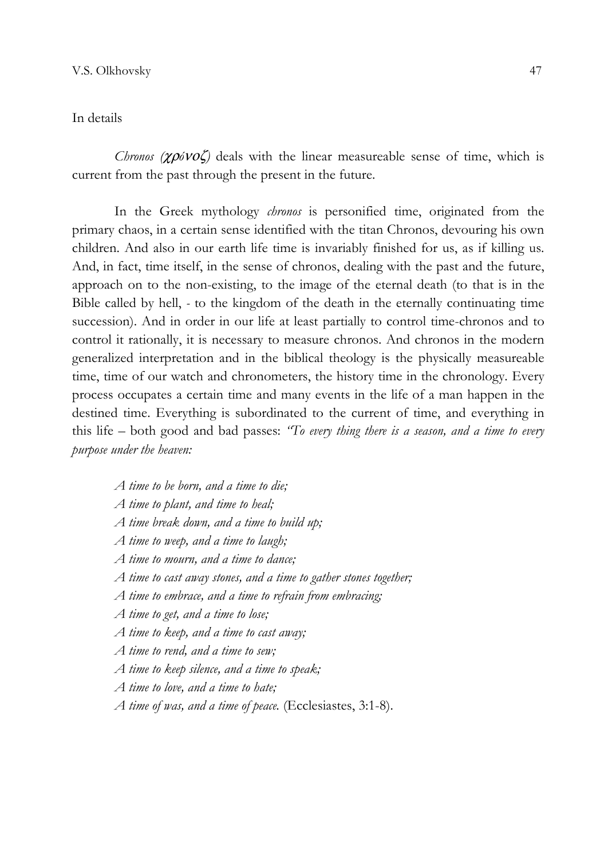## In details

Chronos ( $\chi \rho \delta \nu o \zeta$ ) deals with the linear measureable sense of time, which is current from the past through the present in the future.

In the Greek mythology *chronos* is personified time, originated from the primary chaos, in a certain sense identified with the titan Chronos, devouring his own children. And also in our earth life time is invariably finished for us, as if killing us. And, in fact, time itself, in the sense of chronos, dealing with the past and the future, approach on to the non-existing, to the image of the eternal death (to that is in the Bible called by hell, - to the kingdom of the death in the eternally continuating time succession). And in order in our life at least partially to control time-chronos and to control it rationally, it is necessary to measure chronos. And chronos in the modern generalized interpretation and in the biblical theology is the physically measureable time, time of our watch and chronometers, the history time in the chronology. Every process occupates a certain time and many events in the life of a man happen in the destined time. Everything is subordinated to the current of time, and everything in this life – both good and bad passes: "To every thing there is a season, and a time to every purpose under the heaven:

- A time to be born, and a time to die;
- A time to plant, and time to heal;
- A time break down, and a time to build up;
- A time to weep, and a time to laugh;
- A time to mourn, and a time to dance;
- A time to cast away stones, and a time to gather stones together;
- A time to embrace, and a time to refrain from embracing;
- A time to get, and a time to lose;
- A time to keep, and a time to cast away;
- A time to rend, and a time to sew;
- A time to keep silence, and a time to speak;
- A time to love, and a time to hate;
- A time of was, and a time of peace. (Ecclesiastes, 3:1-8).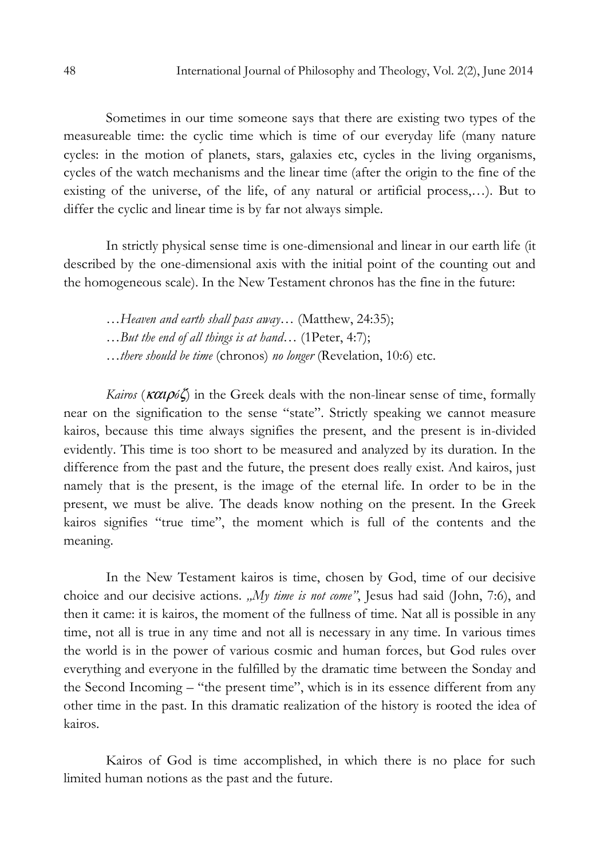Sometimes in our time someone says that there are existing two types of the measureable time: the cyclic time which is time of our everyday life (many nature cycles: in the motion of planets, stars, galaxies etc, cycles in the living organisms, cycles of the watch mechanisms and the linear time (after the origin to the fine of the existing of the universe, of the life, of any natural or artificial process,…). But to differ the cyclic and linear time is by far not always simple.

In strictly physical sense time is one-dimensional and linear in our earth life (it described by the one-dimensional axis with the initial point of the counting out and the homogeneous scale). In the New Testament chronos has the fine in the future:

…Heaven and earth shall pass away… (Мatthew, 24:35);

…But the end of all things is at hand… (1Peter, 4:7);

…there should be time (chronos) no longer (Revelation, 10:6) etc.

Kairos ( $\kappa \alpha \iota \rho \delta \zeta$ ) in the Greek deals with the non-linear sense of time, formally near on the signification to the sense "state". Strictly speaking we cannot measure kairos, because this time always signifies the present, and the present is in-divided evidently. This time is too short to be measured and analyzed by its duration. In the difference from the past and the future, the present does really exist. And kairos, just namely that is the present, is the image of the eternal life. In order to be in the present, we must be alive. The deads know nothing on the present. In the Greek kairos signifies "true time", the moment which is full of the contents and the meaning.

In the New Testament kairos is time, chosen by God, time of our decisive choice and our decisive actions. "My time is not come", Jesus had said (John, 7:6), and then it came: it is kairos, the moment of the fullness of time. Nat all is possible in any time, not all is true in any time and not all is necessary in any time. In various times the world is in the power of various cosmic and human forces, but God rules over everything and everyone in the fulfilled by the dramatic time between the Sonday and the Second Incoming – "the present time", which is in its essence different from any other time in the past. In this dramatic realization of the history is rooted the idea of kairos.

Kairos of God is time accomplished, in which there is no place for such limited human notions as the past and the future.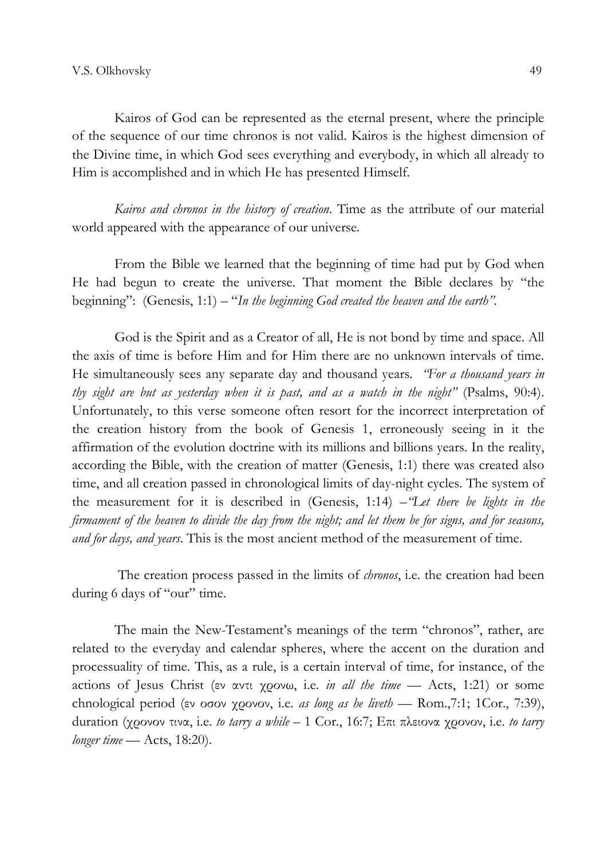Kairos of God can be represented as the eternal present, where the principle of the sequence of our time chronos is not valid. Kairos is the highest dimension of the Divine time, in which God sees everything and everybody, in which all already to Him is accomplished and in which He has presented Himself.

Kairos and chronos in the history of creation. Time as the attribute of our material world appeared with the appearance of our universe.

From the Bible we learned that the beginning of time had put by God when He had begun to create the universe. That moment the Bible declares by "the beginning": (Genesis, 1:1) – "In the beginning God created the heaven and the earth".

God is the Spirit and as a Creator of all, He is not bond by time and space. All the axis of time is before Him and for Him there are no unknown intervals of time. He simultaneously sees any separate day and thousand years. *'For a thousand years in* thy sight are but as yesterday when it is past, and as a watch in the night" (Psalms, 90:4). Unfortunately, to this verse someone often resort for the incorrect interpretation of the creation history from the book of Genesis 1, erroneously seeing in it the affirmation of the evolution doctrine with its millions and billions years. In the reality, according the Bible, with the creation of matter (Genesis, 1:1) there was created also time, and all creation passed in chronological limits of day-night cycles. The system of the measurement for it is described in (Genesis, 1:14) – "Let there be lights in the firmament of the heaven to divide the day from the night; and let them be for signs, and for seasons, and for days, and years. This is the most ancient method of the measurement of time.

The creation process passed in the limits of *chronos*, i.e. the creation had been during 6 days of "our" time.

The main the New-Testament's meanings of the term "chronos", rather, are related to the everyday and calendar spheres, where the accent on the duration and processuality of time. This, as a rule, is a certain interval of time, for instance, of the actions of Jesus Christ (εν αντι χρονω, i.e. in all the time  $-$  Acts, 1:21) or some chnological period (εν οσον χρονον, i.e. as long as he liveth — Rom., 7:1; 1Cor., 7:39), duration (χρονον τινα, i.e. to tarry a while – 1 Cor., 16:7; Επι πλειονα χρονον, i.e. to tarry longer time  $-$  Acts, 18:20).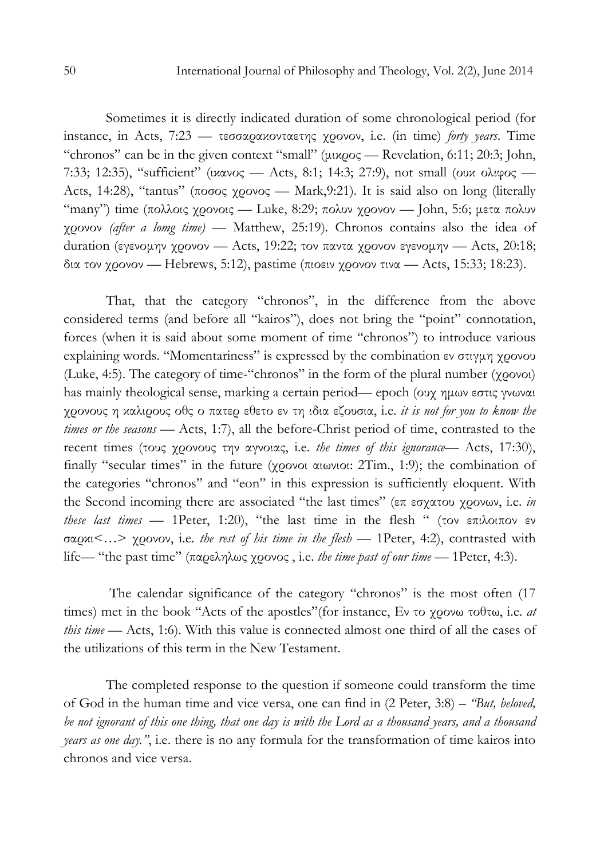Sometimes it is directly indicated duration of some chronological period (for instance, in Acts,  $7:23$  — τεσσαρακονταετης χρονον, i.e. (in time) forty years. Time "chronos" can be in the given context "small" (µικρος — Revelation, 6:11; 20:3; John, 7:33; 12:35), "sufficient" (ικανος — Acts, 8:1; 14:3; 27:9), not small (ουκ ολιφος — Acts, 14:28), "tantus" (ποσος χρονος — Mark,9:21). It is said also on long (literally "many") time (πολλοις χρονοις — Luke, 8:29; πολυν χρονον — John, 5:6; μετα πολυν χρονον (after a lomg time) — Мatthew, 25:19). Chronos contains also the idea of duration (εγενομην χρονον - Acts, 19:22; τον παντα χρονον εγενομην - Acts, 20:18; δια τον χρονον — Hebrews, 5:12), pastime (πιοειν χρονον τινα — Acts, 15:33; 18:23).

That, that the category "chronos", in the difference from the above considered terms (and before all "kairos"), does not bring the "point" connotation, forces (when it is said about some moment of time "chronos") to introduce various explaining words. "Momentariness" is expressed by the combination εν στιγµη χρονου (Luke, 4:5). The category of time-"chronos" in the form of the plural number (χρονοι) has mainly theological sense, marking a certain period— epoch (ουχ ηµων εστις γνωναι χρονους η καλιρους οθς ο πατερ εθετο εν τη ιδια εζουσια, i.е. it is not for you to know the times or the seasons - Acts, 1:7), all the before-Christ period of time, contrasted to the recent times (τους χρονους την αγνοιας, i.е. the times of this ignorance— Acts, 17:30), finally "secular times" in the future (χρονοι αιωνιοι: 2Тim., 1:9); the combination of the categories "chronos" and "eon" in this expression is sufficiently eloquent. With the Second incoming there are associated "the last times" (επ εσχατου χρονων, i.е. in these last times — 1Peter, 1:20), "the last time in the flesh " (τον επιλοιπον εν σαρκι<…> χρονον, i.е. the rest of his time in the flesh — 1Peter, 4:2), contrasted with life— "the past time" (παρεληλως χρονος , i.е. the time past of our time — 1Peter, 4:3).

The calendar significance of the category "chronos" is the most often (17 times) met in the book "Acts of the apostles"(for instance, Εν το χρονω τοθτω, i.е. at this time — Acts, 1:6). With this value is connected almost one third of all the cases of the utilizations of this term in the New Testament.

The completed response to the question if someone could transform the time of God in the human time and vice versa, one can find in (2 Peter, 3:8) – "But, beloved, be not ignorant of this one thing, that one day is with the Lord as a thousand years, and a thousand years as one day.", i.е. there is no any formula for the transformation of time kairos into chronos and vice versa.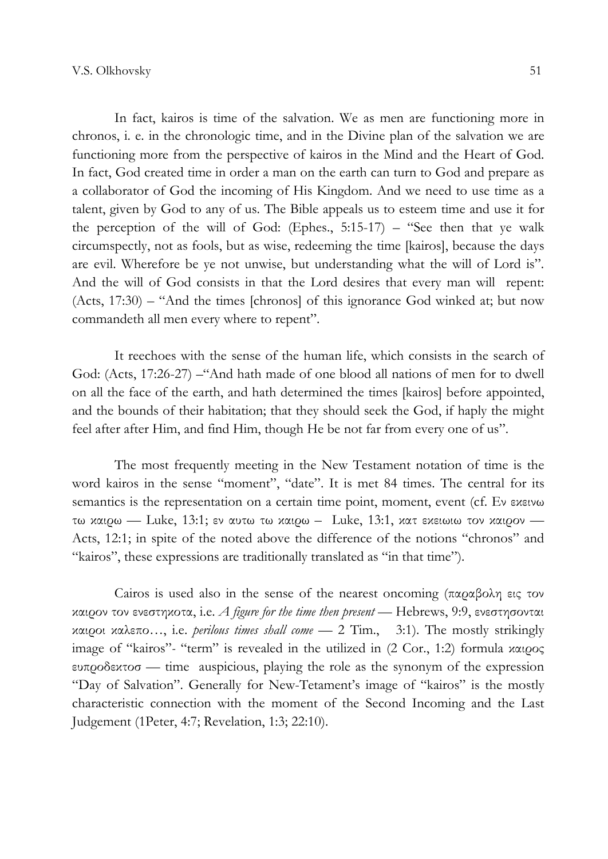In fact, kairos is time of the salvation. We as men are functioning more in chronos, i. е. in the chronologic time, and in the Divine plan of the salvation we are functioning more from the perspective of kairos in the Mind and the Heart of God. In fact, Gоd created time in order a man on the earth can turn to God and prepare as a collaborator of God the incoming of His Kingdom. And we need to use time as a talent, given by God to any of us. The Bible appeals us to esteem time and use it for the perception of the will of God: (Еphes., 5:15-17) – "See then that ye walk circumspectly, not as fools, but as wise, redeeming the time [kairos], because the days are evil. Wherefore be ye not unwise, but understanding what the will of Lord is". And the will of God consists in that the Lord desires that every man will repent: (Acts, 17:30) – "And the times [chronos] of this ignorance God winked at; but now commandeth all men every where to repent".

It reechoes with the sense of the human life, which consists in the search of God: (Acts, 17:26-27) –"And hath made of one blood all nations of men for to dwell on all the face of the earth, and hath determined the times [kairos] before appointed, and the bounds of their habitation; that they should seek the God, if haply the might feel after after Him, and find Him, though He be not far from every one of us".

The most frequently meeting in the New Testament notation of time is the word kairos in the sense "moment", "date". It is met 84 times. The central for its semantics is the representation on a certain time point, moment, event (cf. Εν εκεινω τω καιρω — Luke, 13:1; εν αυτω τω καιρω – Luke, 13:1, κατ εκειωιω τον καιρον — Acts, 12:1; in spite of the noted above the difference of the notions "chronos" and "kairos", these expressions are traditionally translated as "in that time").

Cairos is used also in the sense of the nearest oncoming (παραβολη εις τον καιρον τον ενεστηκοτα, i.e. *A figure for the time then present* — Hebrews, 9:9, ενεστησονται καιροι καλεπο…, i.e. perilous times shall come — 2 Тim., 3:1). The mostly strikingly image of "kairos"- "term" is revealed in the utilized in (2 Cor., 1:2) formula καιρος ευπροδεκτοσ — time auspicious, playing the role as the synonym of the expression "Day of Salvation". Generally for New-Tetament's image of "kairos" is the mostly characteristic connection with the moment of the Second Incoming and the Last Judgement (1Peter, 4:7; Revelation, 1:3; 22:10).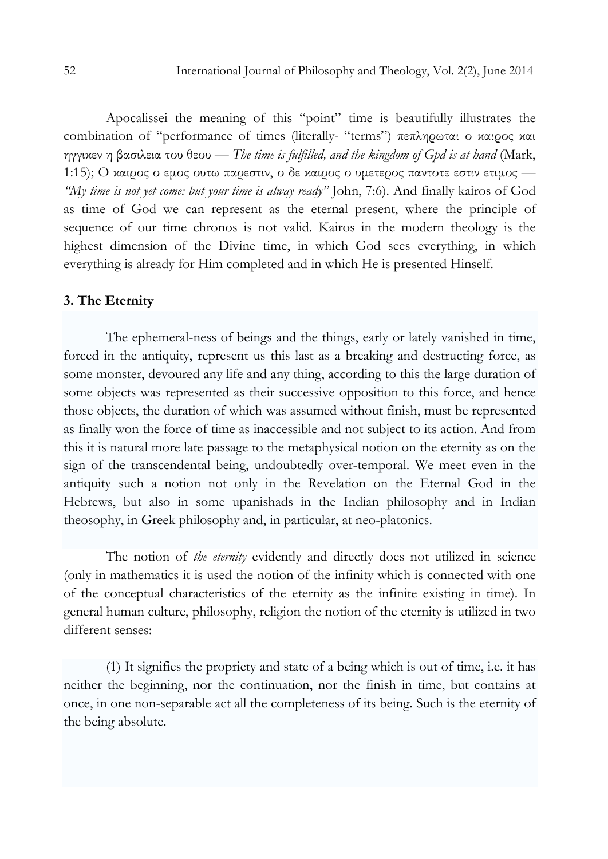Apocalissei the meaning of this "point" time is beautifully illustrates the combination of "performance of times (literally- "terms") πεπληρωται ο καιρος και ηγγικεν η βασιλεια του θεου — The time is fulfilled, and the kingdom of Gpd is at hand (Mark, 1:15); Ο καιρος ο εμος ουτω παρεστιν, ο δε καιρος ο υμετερος παντοτε εστιν ετιμος -"My time is not yet come: but your time is alway ready" John, 7:6). And finally kairos of God as time of God we can represent as the eternal present, where the principle of sequence of our time chronos is not valid. Kairos in the modern theology is the highest dimension of the Divine time, in which God sees everything, in which everything is already for Him completed and in which He is presented Hinself.

#### 3. The Eternity

The ephemeral-ness of beings and the things, early or lately vanished in time, forced in the antiquity, represent us this last as a breaking and destructing force, as some monster, devoured any life and any thing, according to this the large duration of some objects was represented as their successive opposition to this force, and hence those objects, the duration of which was assumed without finish, must be represented as finally won the force of time as inaccessible and not subject to its action. Аnd from this it is natural more late passage to the metaphysical notion on the eternity as on the sign of the transcendental being, undoubtedly over-temporal. We meet even in the antiquity such a notion not only in the Revelation on the Eternal God in the Hebrews, but also in some upanishads in the Indian philosophy and in Indian theosophy, in Greek philosophy and, in particular, at neo-platonics.

The notion of *the eternity* evidently and directly does not utilized in science (only in mathematics it is used the notion of the infinity which is connected with one of the conceptual characteristics of the eternity as the infinite existing in time). In general human culture, philosophy, religion the notion of the eternity is utilized in two different senses:

(1) It signifies the propriety and state of a being which is out of time, i.e. it has neither the beginning, nor the continuation, nor the finish in time, but contains at once, in one non-separable act all the completeness of its being. Such is the eternity of the being absolute.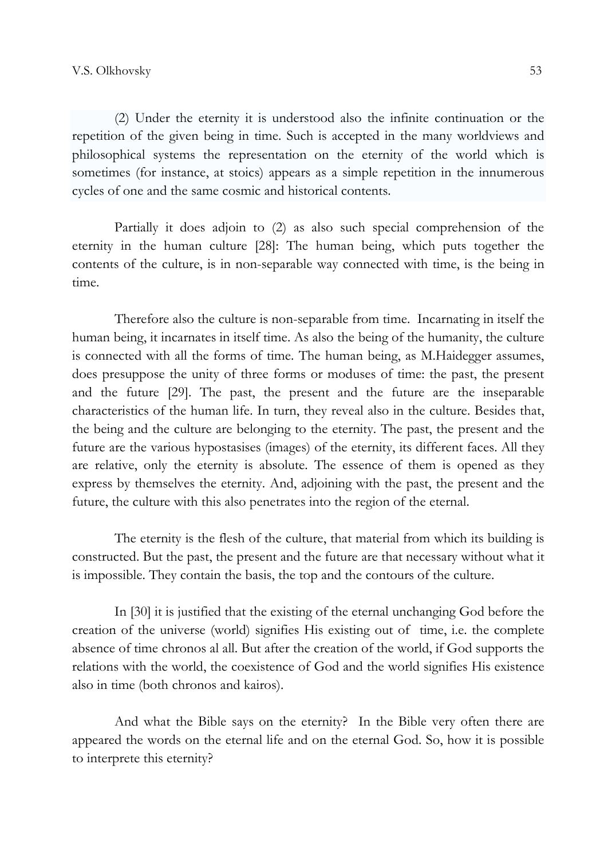(2) Under the eternity it is understood also the infinite continuation or the repetition of the given being in time. Such is accepted in the many worldviews and philosophical systems the representation on the eternity of the world which is sometimes (for instance, at stoics) appears as a simple repetition in the innumerous cycles of one and the same cosmic and historical contents.

Partially it does adjoin to (2) as also such special comprehension of the eternity in the human culture [28]: The human being, which puts together the contents of the culture, is in non-separable way connected with time, is the being in time.

Therefore also the culture is non-separable from time. Incarnating in itself the human being, it incarnates in itself time. As also the being of the humanity, the culture is connected with all the forms of time. The human being, as M.Haidegger assumes, does presuppose the unity of three forms or moduses of time: the past, the present and the future [29]. The past, the present and the future are the inseparable characteristics of the human life. In turn, they reveal also in the culture. Besides that, the being and the culture are belonging to the eternity. The past, the present and the future are the various hypostasises (images) of the eternity, its different faces. All they are relative, only the eternity is absolute. The essence of them is opened as they express by themselves the eternity. And, adjoining with the past, the present and the future, the culture with this also penetrates into the region of the eternal.

The eternity is the flesh of the culture, that material from which its building is constructed. But the past, the present and the future are that necessary without what it is impossible. They contain the basis, the top and the contours of the culture.

In [30] it is justified that the existing of the eternal unchanging God before the creation of the universe (world) signifies His existing out of time, i.e. the complete absence of time chronos al all. But after the creation of the world, if God supports the relations with the world, the coexistence of God and the world signifies His existence also in time (both chronos and kairos).

And what the Bible says on the eternity? In the Bible very often there are appeared the words on the eternal life and on the eternal God. So, how it is possible to interprete this eternity?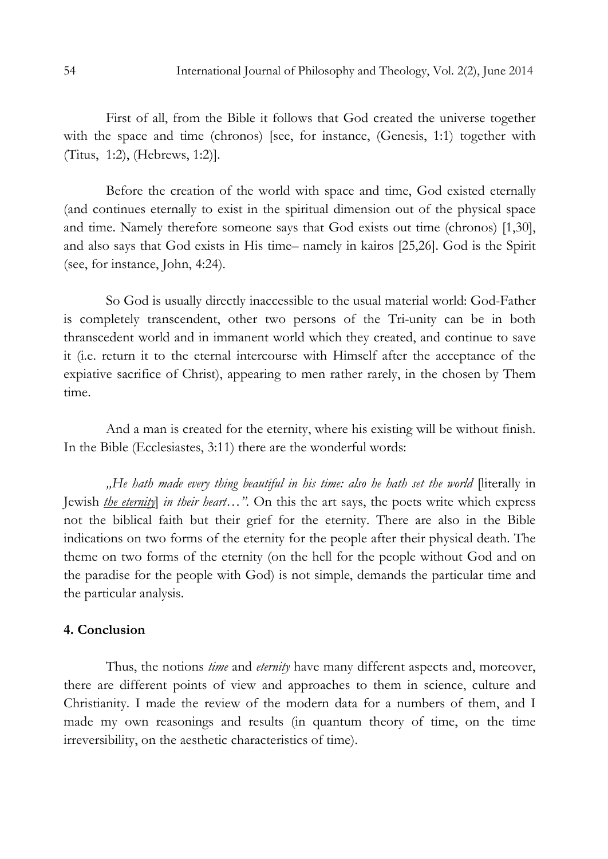First of all, from the Bible it follows that God created the universe together with the space and time (chronos) [see, for instance, (Genesis, 1:1) together with (Titus, 1:2), (Hebrews, 1:2)].

Before the creation of the world with space and time, God existed eternally (and continues eternally to exist in the spiritual dimension out of the physical space and time. Namely therefore someone says that God exists out time (chronos) [1,30], аnd also says that God exists in His time– namely in kairos [25,26]. God is the Spirit (see, for instance, John, 4:24).

So God is usually directly inaccessible to the usual material world: God-Father is completely transcendent, other two persons of the Tri-unity can be in both thranscedent world and in immanent world which they created, and continue to save it (i.e. return it to the eternal intercourse with Himself after the acceptance of the expiative sacrifice of Christ), appearing to men rather rarely, in the chosen by Them time.

And a man is created for the eternity, where his existing will be without finish. In the Bible (Ecclesiastes, 3:11) there are the wonderful words:

., He hath made every thing beautiful in his time: also he hath set the world [literally in Jewish *the eternity in their heart*…". On this the art says, the poets write which express not the biblical faith but their grief for the eternity. There are also in the Bible indications on two forms of the eternity for the people after their physical death. The theme on two forms of the eternity (on the hell for the people without God and on the paradise for the people with God) is not simple, demands the particular time and the particular analysis.

#### 4. Conclusion

Thus, the notions *time* and *eternity* have many different aspects and, moreover, there are different points of view and approaches to them in science, culture and Christianity. I made the review of the modern data for a numbers of them, and I made my own reasonings and results (in quantum theory of time, on the time irreversibility, on the aesthetic characteristics of time).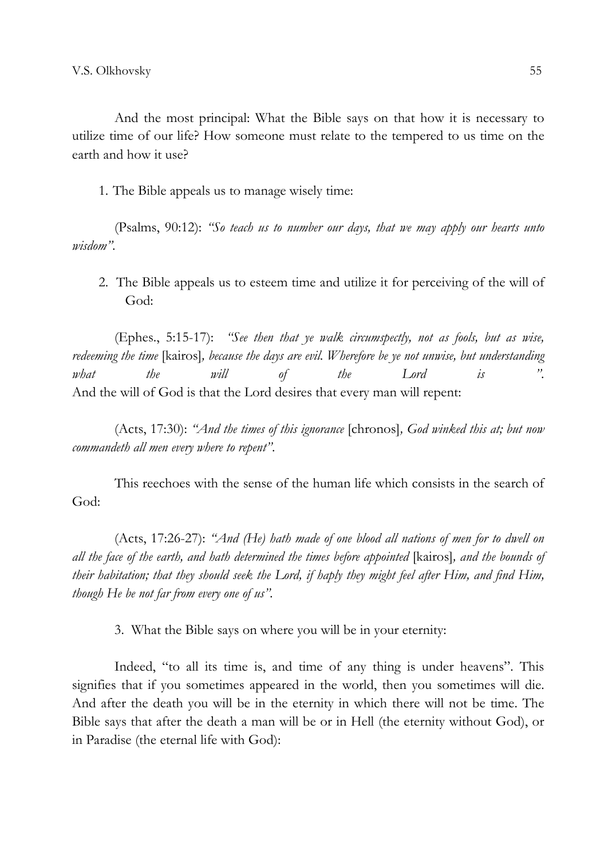And the most principal: What the Bible says on that how it is necessary to utilize time of our life? How someone must relate to the tempered to us time on the earth and how it use?

1. The Bible appeals us to manage wisely time:

(Psalms, 90:12): "So teach us to number our days, that we may apply our hearts unto wisdom".

2. The Bible appeals us to esteem time and utilize it for perceiving of the will of God:

(Еphes., 5:15-17): "See then that ye walk circumspectly, not as fools, but as wise, redeeming the time [kairos], because the days are evil. Wherefore be ye not unwise, but understanding what the will of the Lord is ". Аnd the will of God is that the Lord desires that every man will repent:

(Acts, 17:30): "And the times of this ignorance [chronos], God winked this at; but now commandeth all men every where to repent".

This reechoes with the sense of the human life which consists in the search of God:

(Acts, 17:26-27): "And (He) hath made of one blood all nations of men for to dwell on all the face of the earth, and hath determined the times before appointed [kairos], and the bounds of their habitation; that they should seek the Lord, if haply they might feel after Him, and find Him, though He be not far from every one of us".

3. What the Bible says on where you will be in your eternity:

Indeed, "to all its time is, and time of any thing is under heavens". This signifies that if you sometimes appeared in the world, then you sometimes will die. Аnd after the death you will be in the eternity in which there will not be time. The Bible says that after the death a man will be or in Hell (the eternity without God), or in Paradise (the eternal life with God):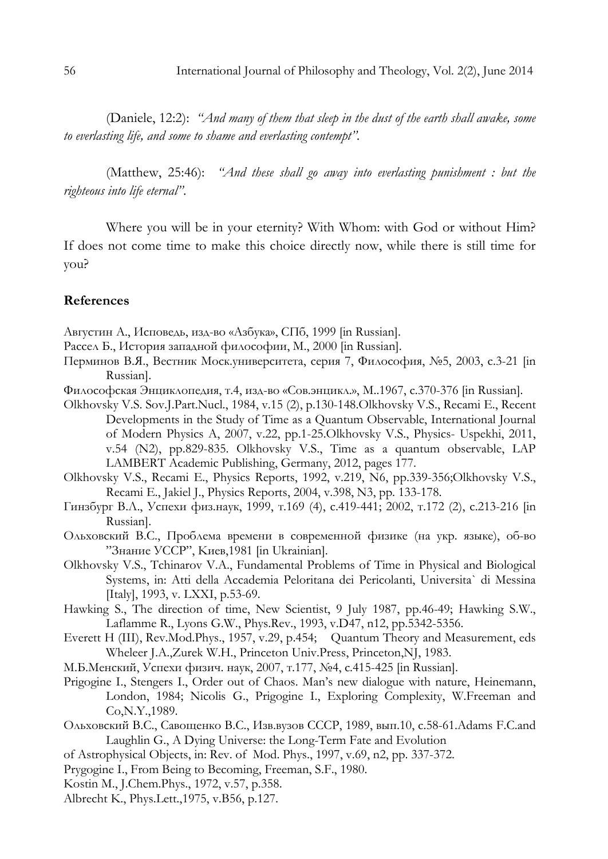(Daniele, 12:2): "And many of them that sleep in the dust of the earth shall awake, some to everlasting life, and some to shame and everlasting contempt".

(Маtthew, 25:46): "And these shall go away into everlasting punishment : but the righteous into life eternal".

Where you will be in your eternity? With Whom: with God or without Him? If does not come time to make this choice directly now, while there is still time for you?

## References

Августин А., Исповедь, изд-во «Азбука», СПб, 1999 [in Russian].

Рассел Б., История западной философии, М., 2000 [in Russian].

- Перминов В.Я., Вестник Моск.университета, серия 7, Философия, №5, 2003, с.3-21 [in Russian].
- Философская Энциклопедия, т.4, изд-во «Сов.энцикл.», М..1967, с.370-376 [in Russian].
- Olkhovsky V.S. Sov.J.Part.Nucl., 1984, v.15 (2), p.130-148.Olkhovsky V.S., Recami E., Recent Developments in the Study of Time as a Quantum Observable, International Journal of Modern Physics A, 2007, v.22, pp.1-25.Olkhovsky V.S., Physics- Uspekhi, 2011, v.54 (N2), pp.829-835. Olkhovsky V.S., Time as a quantum observable, LAP LAMBERT Academic Publishing, Germany, 2012, pages 177.
- Olkhovsky V.S., Recami Е., Physics Reports, 1992, v.219, N6, pp.339-356;Olkhovsky V.S., Recami Е., Jakiel J., Physics Reports, 2004, v.398, N3, pp. 133-178.
- Гинзбург В.Л., Успехи физ.наук, 1999, т.169 (4), с.419-441; 2002, т.172 (2), с.213-216 [in Russian].
- Oльховский В.С., Проблема времени в современной физике (на укр. языке), об-во "Знание УССР", Kиев,1981 [in Ukrainian].
- Olkhovsky V.S., Tchinarov V.A., Fundamental Problems of Time in Physical and Biological Systems, in: Atti della Accademia Peloritana dei Pericolanti, Universita` di Messina [Italy], 1993, v. LXXI, p.53-69.
- Hawking S., The direction of time, New Scientist, 9 July 1987, pp.46-49; Hawking S.W., Laflamme R., Lyons G.W., Phys.Rev., 1993, v.D47, n12, pp.5342-5356.
- Everett H (III), Rev.Mod.Phys., 1957, v.29, p.454; Quantum Theory and Measurement, eds Wheleer J.A.,Zurek W.H., Princeton Univ.Press, Princeton,NJ, 1983.
- М.Б.Менский, Успехи физич. наук, 2007, т.177, №4, с.415-425 [in Russian].
- Prigogine I., Stengers I., Order out of Chaos. Man's new dialogue with nature, Heinemann, London, 1984; Nicolis G., Prigogine I., Exploring Complexity, W.Freeman and Co,N.Y.,1989.
- Ольховский В.С., Савощенко В.С., Изв.вузов СССР, 1989, вып.10, с.58-61.Adams F.C.and Laughlin G., A Dying Universe: the Long-Term Fate and Evolution
- of Astrophysical Objects, in: Rev. of Mod. Phys., 1997, v.69, n2, pp. 337-372.
- Prygogine I., From Being to Becoming, Freeman, S.F., 1980.
- Kostin М., J.Chem.Phys., 1972, v.57, p.358.
- Albrecht K., Phys.Lett.,1975, v.B56, p.127.